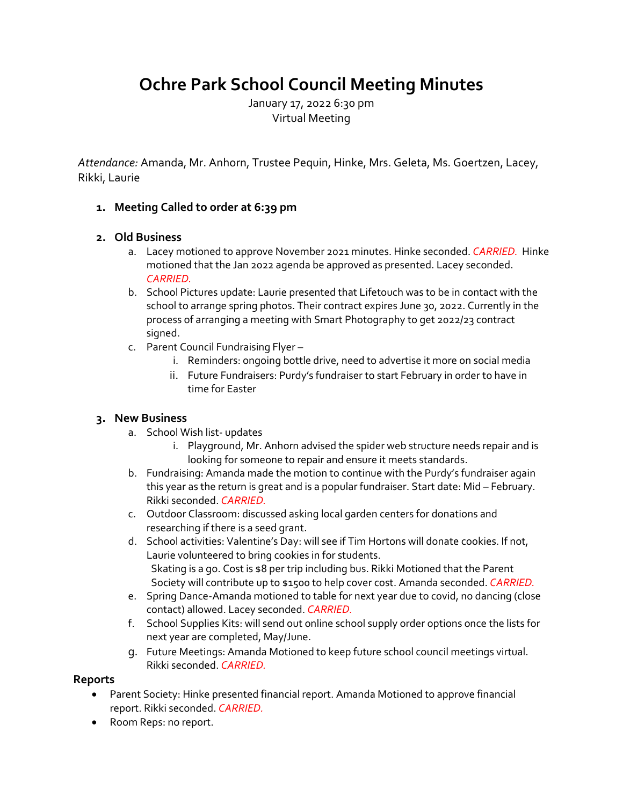# **Ochre Park School Council Meeting Minutes**

January 17, 2022 6:30 pm Virtual Meeting

*Attendance:* Amanda, Mr. Anhorn, Trustee Pequin, Hinke, Mrs. Geleta, Ms. Goertzen, Lacey, Rikki, Laurie

## **1. Meeting Called to order at 6:39 pm**

## **2. Old Business**

- a. Lacey motioned to approve November 2021 minutes. Hinke seconded. *CARRIED.* Hinke motioned that the Jan 2022 agenda be approved as presented. Lacey seconded. *CARRIED.*
- b. School Pictures update: Laurie presented that Lifetouch was to be in contact with the school to arrange spring photos. Their contract expires June 30, 2022. Currently in the process of arranging a meeting with Smart Photography to get 2022/23 contract signed.
- c. Parent Council Fundraising Flyer
	- i. Reminders: ongoing bottle drive, need to advertise it more on social media
	- ii. Future Fundraisers: Purdy's fundraiser to start February in order to have in time for Easter

## **3. New Business**

- a. School Wish list- updates
	- i. Playground, Mr. Anhorn advised the spider web structure needs repair and is looking for someone to repair and ensure it meets standards.
- b. Fundraising: Amanda made the motion to continue with the Purdy's fundraiser again this year as the return is great and is a popular fundraiser. Start date: Mid – February. Rikki seconded. *CARRIED.*
- c. Outdoor Classroom: discussed asking local garden centers for donations and researching if there is a seed grant.
- d. School activities: Valentine's Day: will see if Tim Hortons will donate cookies. If not, Laurie volunteered to bring cookies in for students. Skating is a go. Cost is \$8 per trip including bus. Rikki Motioned that the Parent Society will contribute up to \$1500 to help cover cost. Amanda seconded. *CARRIED.*
- e. Spring Dance-Amanda motioned to table for next year due to covid, no dancing (close contact) allowed. Lacey seconded. *CARRIED.*
- f. School Supplies Kits: will send out online school supply order options once the lists for next year are completed, May/June.
- g. Future Meetings: Amanda Motioned to keep future school council meetings virtual. Rikki seconded. *CARRIED.*

## **Reports**

- Parent Society: Hinke presented financial report. Amanda Motioned to approve financial report. Rikki seconded. *CARRIED.*
- Room Reps: no report.